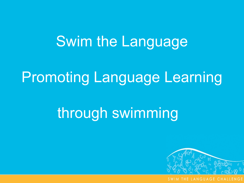## Swim the Language

## Promoting Language Learning

# through swimming

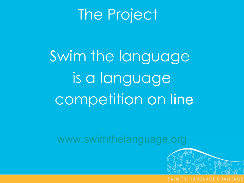## The Project

Swim the language is a language competition on line

[www.swimthelanguage.org](http://www.swimthelanguage.org/)

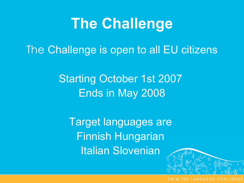The Challenge is open to all EU citizens

Starting October 1st 2007 Ends in May 2008

Target languages are Finnish Hungarian Italian Slovenian

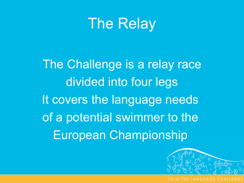## The Relay

The Challenge is a relay race divided into four legs It covers the language needs of a potential swimmer to the European Championship

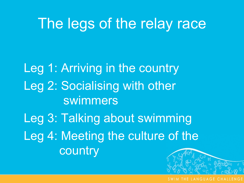## The legs of the relay race

Leg 1: Arriving in the country Leg 2: Socialising with other swimmers Leg 3: Talking about swimming Leg 4: Meeting the culture of the country

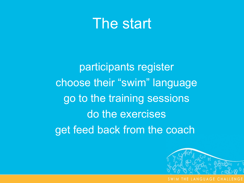#### The start

participants register choose their "swim" language go to the training sessions do the exercises get feed back from the coach

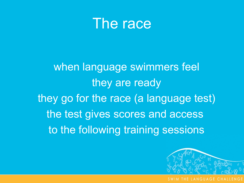

when language swimmers feel they are ready they go for the race (a language test) the test gives scores and access to the following training sessions

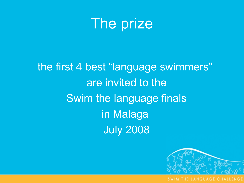

the first 4 best "language swimmers" are invited to the Swim the language finals in Malaga July 2008

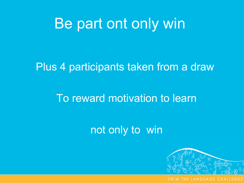### Be part ont only win

#### Plus 4 participants taken from a draw

#### To reward motivation to learn

#### not only to win

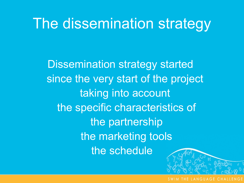## The dissemination strategy

Dissemination strategy started since the very start of the project taking into account the specific characteristics of the partnership the marketing tools the schedule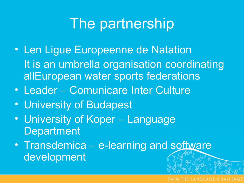## The partnership

- Len Ligue Europeenne de Natation It is an umbrella organisation coordinating allEuropean water sports federations
- Leader Comunicare Inter Culture
- University of Budapest
- University of Koper Language **Department**
- Transdemica e-learning and software development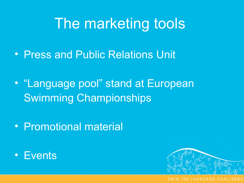## The marketing tools

- Press and Public Relations Unit
- "Language pool" stand at European Swimming Championships
- Promotional material
- Events

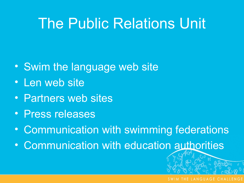## The Public Relations Unit

- Swim the language web site
- Len web site
- Partners web sites
- Press releases
- Communication with swimming federations
- Communication with education authorities

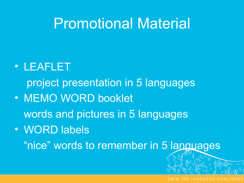## Promotional Material

#### • LEAFLET

project presentation in 5 languages

- MEMO WORD booklet words and pictures in 5 languages
- WORD labels

"nice" words to remember in 5 languages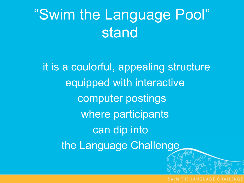# "Swim the Language Pool" stand

it is a coulorful, appealing structure equipped with interactive computer postings where participants can dip into the Language Challenge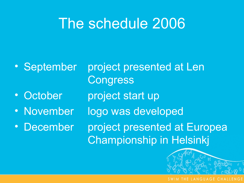## The schedule 2006

- 
- 
- 
- 

• September project presented at Len **Congress** • October project start up • November logo was developed • December project presented at Europea Championship in Helsinkj

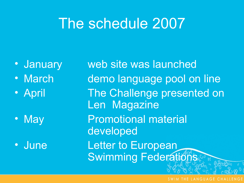## The schedule 2007

- 
- 
- 

• January web site was launched • March demo language pool on line • April The Challenge presented on Len Magazine • May **Promotional material** developed • June Letter to European Swimming Federations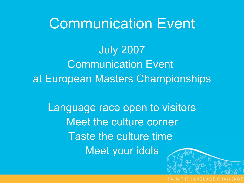## Communication Event

July 2007 Communication Event at European Masters Championships

Language race open to visitors Meet the culture corner Taste the culture time Meet your idols

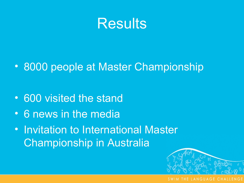

• 8000 people at Master Championship

- 600 visited the stand
- 6 news in the media
- Invitation to International Master Championship in Australia

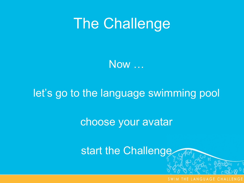Now …

#### let's go to the language swimming pool

choose your avatar

start the Challenge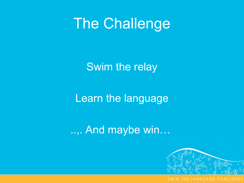Swim the relay

Learn the language

..,. And maybe win…